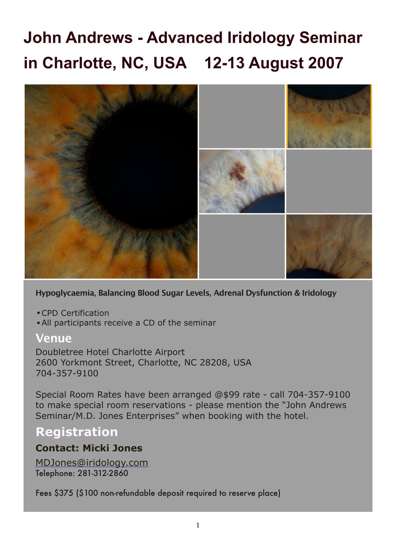# **John Andrews - Advanced Iridology Seminar in Charlotte, NC, USA 12-13 August 2007**



**Hypoglycaemia, Balancing Blood Sugar Levels, Adrenal Dysfunction & Iridology**

- •CPD Certification
- •All participants receive a CD of the seminar

### **Venue**

Doubletree Hotel Charlotte Airport 2600 Yorkmont Street, Charlotte, NC 28208, USA 704-357-9100

Special Room Rates have been arranged @\$99 rate - call 704-357-9100 to make special room reservations - please mention the "John Andrews Seminar/M.D. Jones Enterprises" when booking with the hotel.

# **Registration**

### **Contact: Micki Jones**

MDJones@iridology.com Telephone: 281-312-2860

Fees \$375 (\$100 non-refundable deposit required to reserve place)